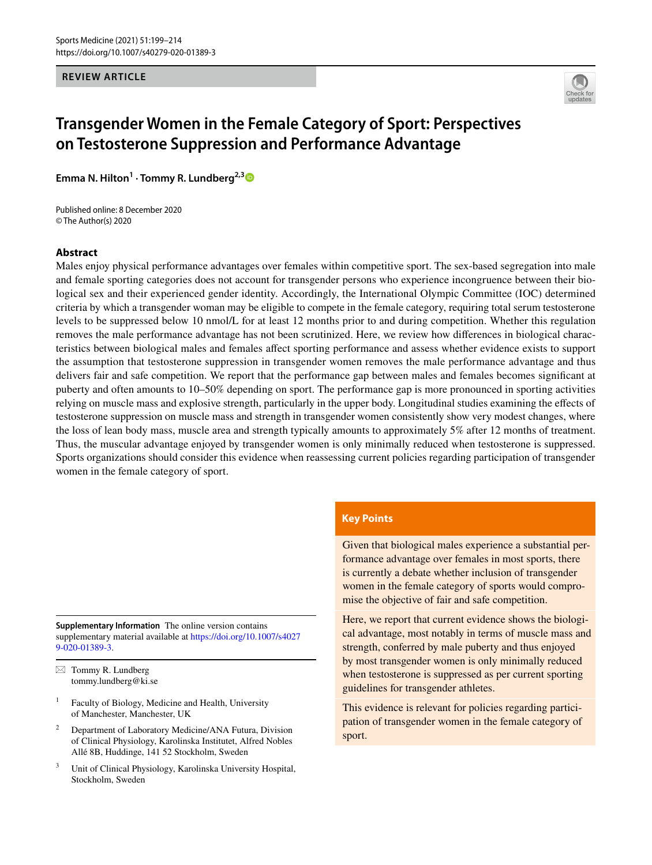**REVIEW ARTICLE**



# **Transgender Women in the Female Category of Sport: Perspectives on Testosterone Suppression and Performance Advantage**

**Emma N. Hilton<sup>1</sup> · Tommy R. Lundberg2,[3](http://orcid.org/0000-0002-6818-6230)**

Published online: 8 December 2020 © The Author(s) 2020

#### **Abstract**

Males enjoy physical performance advantages over females within competitive sport. The sex-based segregation into male and female sporting categories does not account for transgender persons who experience incongruence between their biological sex and their experienced gender identity. Accordingly, the International Olympic Committee (IOC) determined criteria by which a transgender woman may be eligible to compete in the female category, requiring total serum testosterone levels to be suppressed below 10 nmol/L for at least 12 months prior to and during competition. Whether this regulation removes the male performance advantage has not been scrutinized. Here, we review how diferences in biological characteristics between biological males and females afect sporting performance and assess whether evidence exists to support the assumption that testosterone suppression in transgender women removes the male performance advantage and thus delivers fair and safe competition. We report that the performance gap between males and females becomes signifcant at puberty and often amounts to 10–50% depending on sport. The performance gap is more pronounced in sporting activities relying on muscle mass and explosive strength, particularly in the upper body. Longitudinal studies examining the efects of testosterone suppression on muscle mass and strength in transgender women consistently show very modest changes, where the loss of lean body mass, muscle area and strength typically amounts to approximately 5% after 12 months of treatment. Thus, the muscular advantage enjoyed by transgender women is only minimally reduced when testosterone is suppressed. Sports organizations should consider this evidence when reassessing current policies regarding participation of transgender women in the female category of sport.

**Supplementary Information** The online version contains supplementary material available at [https://doi.org/10.1007/s4027](https://doi.org/10.1007/s40279-020-01389-3) [9-020-01389-3](https://doi.org/10.1007/s40279-020-01389-3).

 $\boxtimes$  Tommy R. Lundberg tommy.lundberg@ki.se

- Faculty of Biology, Medicine and Health, University of Manchester, Manchester, UK
- <sup>2</sup> Department of Laboratory Medicine/ANA Futura, Division of Clinical Physiology, Karolinska Institutet, Alfred Nobles Allé 8B, Huddinge, 141 52 Stockholm, Sweden
- Unit of Clinical Physiology, Karolinska University Hospital, Stockholm, Sweden

## **Key Points**

Given that biological males experience a substantial performance advantage over females in most sports, there is currently a debate whether inclusion of transgender women in the female category of sports would compromise the objective of fair and safe competition.

Here, we report that current evidence shows the biological advantage, most notably in terms of muscle mass and strength, conferred by male puberty and thus enjoyed by most transgender women is only minimally reduced when testosterone is suppressed as per current sporting guidelines for transgender athletes.

This evidence is relevant for policies regarding participation of transgender women in the female category of sport.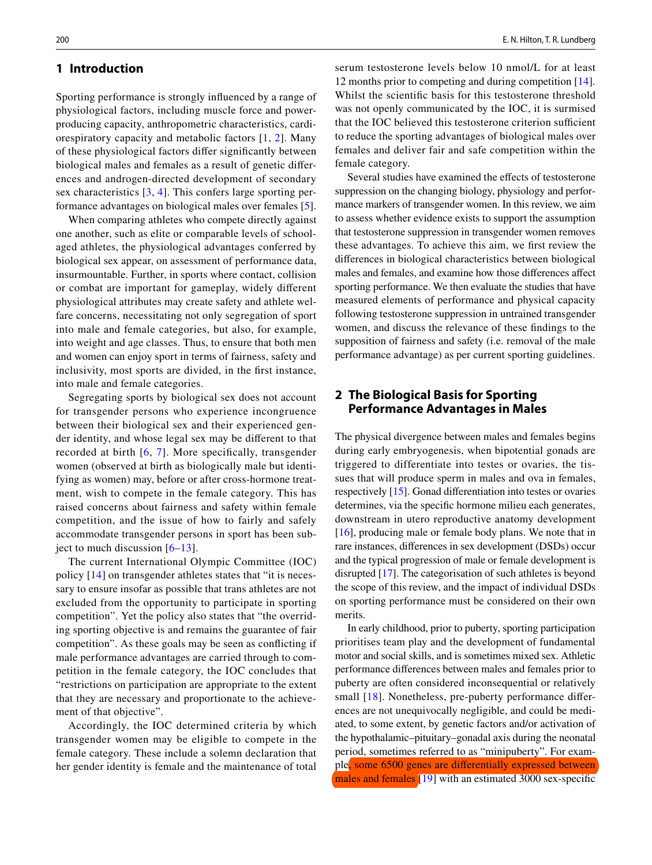## **1 Introduction**

Sporting performance is strongly infuenced by a range of physiological factors, including muscle force and powerproducing capacity, anthropometric characteristics, cardiorespiratory capacity and metabolic factors [[1](#page-13-0), [2](#page-13-1)]. Many of these physiological factors difer signifcantly between biological males and females as a result of genetic diferences and androgen-directed development of secondary sex characteristics [\[3,](#page-13-2) [4](#page-13-3)]. This confers large sporting performance advantages on biological males over females [\[5](#page-13-4)].

When comparing athletes who compete directly against one another, such as elite or comparable levels of schoolaged athletes, the physiological advantages conferred by biological sex appear, on assessment of performance data, insurmountable. Further, in sports where contact, collision or combat are important for gameplay, widely diferent physiological attributes may create safety and athlete welfare concerns, necessitating not only segregation of sport into male and female categories, but also, for example, into weight and age classes. Thus, to ensure that both men and women can enjoy sport in terms of fairness, safety and inclusivity, most sports are divided, in the frst instance, into male and female categories.

Segregating sports by biological sex does not account for transgender persons who experience incongruence between their biological sex and their experienced gender identity, and whose legal sex may be diferent to that recorded at birth [[6,](#page-13-5) [7](#page-13-6)]. More specifcally, transgender women (observed at birth as biologically male but identifying as women) may, before or after cross-hormone treatment, wish to compete in the female category. This has raised concerns about fairness and safety within female competition, and the issue of how to fairly and safely accommodate transgender persons in sport has been subject to much discussion [[6–](#page-13-5)[13](#page-13-7)].

The current International Olympic Committee (IOC) policy [[14](#page-13-8)] on transgender athletes states that "it is necessary to ensure insofar as possible that trans athletes are not excluded from the opportunity to participate in sporting competition". Yet the policy also states that "the overriding sporting objective is and remains the guarantee of fair competition". As these goals may be seen as conficting if male performance advantages are carried through to competition in the female category, the IOC concludes that "restrictions on participation are appropriate to the extent that they are necessary and proportionate to the achievement of that objective".

Accordingly, the IOC determined criteria by which transgender women may be eligible to compete in the female category. These include a solemn declaration that her gender identity is female and the maintenance of total serum testosterone levels below 10 nmol/L for at least 12 months prior to competing and during competition [\[14](#page-13-8)]. Whilst the scientifc basis for this testosterone threshold was not openly communicated by the IOC, it is surmised that the IOC believed this testosterone criterion sufficient to reduce the sporting advantages of biological males over females and deliver fair and safe competition within the female category.

Several studies have examined the effects of testosterone suppression on the changing biology, physiology and performance markers of transgender women. In this review, we aim to assess whether evidence exists to support the assumption that testosterone suppression in transgender women removes these advantages. To achieve this aim, we frst review the diferences in biological characteristics between biological males and females, and examine how those diferences afect sporting performance. We then evaluate the studies that have measured elements of performance and physical capacity following testosterone suppression in untrained transgender women, and discuss the relevance of these fndings to the supposition of fairness and safety (i.e. removal of the male performance advantage) as per current sporting guidelines.

# **2 The Biological Basis for Sporting Performance Advantages in Males**

The physical divergence between males and females begins during early embryogenesis, when bipotential gonads are triggered to differentiate into testes or ovaries, the tissues that will produce sperm in males and ova in females, respectively [\[15\]](#page-13-9). Gonad diferentiation into testes or ovaries determines, via the specifc hormone milieu each generates, downstream in utero reproductive anatomy development [[16\]](#page-13-10), producing male or female body plans. We note that in rare instances, diferences in sex development (DSDs) occur and the typical progression of male or female development is disrupted [[17\]](#page-13-11). The categorisation of such athletes is beyond the scope of this review, and the impact of individual DSDs on sporting performance must be considered on their own merits.

In early childhood, prior to puberty, sporting participation prioritises team play and the development of fundamental motor and social skills, and is sometimes mixed sex. Athletic performance diferences between males and females prior to puberty are often considered inconsequential or relatively small [\[18\]](#page-13-12). Nonetheless, pre-puberty performance differences are not unequivocally negligible, and could be mediated, to some extent, by genetic factors and/or activation of the hypothalamic–pituitary–gonadal axis during the neonatal period, sometimes referred to as "minipuberty". For example, some 6500 genes are diferentially expressed between males and females [[19\]](#page-13-13) with an estimated 3000 sex-specifc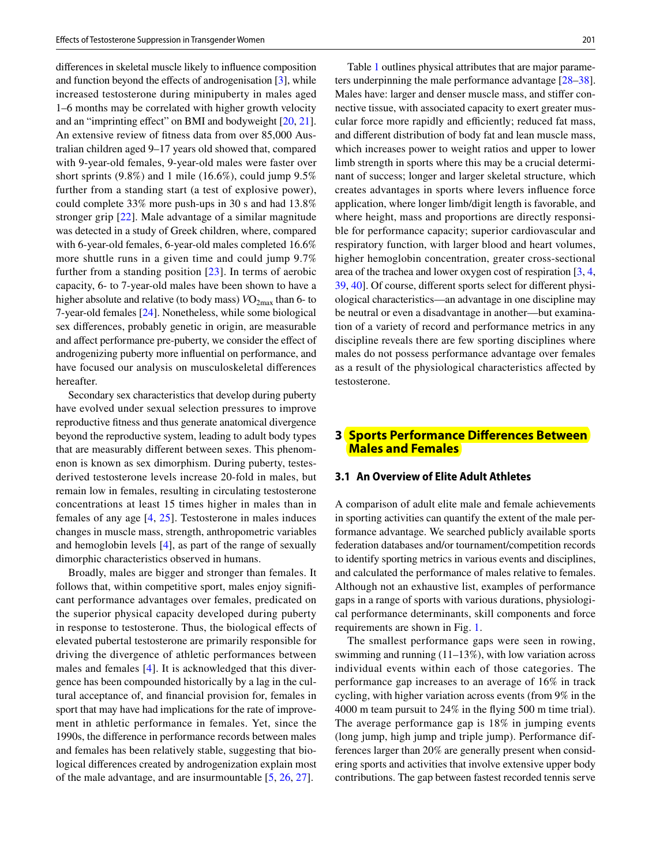diferences in skeletal muscle likely to infuence composition and function beyond the effects of androgenisation  $[3]$  $[3]$ , while increased testosterone during minipuberty in males aged 1–6 months may be correlated with higher growth velocity and an "imprinting effect" on BMI and bodyweight [[20,](#page-13-14) [21](#page-13-15)]. An extensive review of ftness data from over 85,000 Australian children aged 9–17 years old showed that, compared with 9-year-old females, 9-year-old males were faster over short sprints (9.8%) and 1 mile (16.6%), could jump 9.5% further from a standing start (a test of explosive power), could complete 33% more push-ups in 30 s and had 13.8% stronger grip [[22](#page-13-16)]. Male advantage of a similar magnitude was detected in a study of Greek children, where, compared with 6-year-old females, 6-year-old males completed 16.6% more shuttle runs in a given time and could jump 9.7% further from a standing position [\[23\]](#page-13-17). In terms of aerobic capacity, 6- to 7-year-old males have been shown to have a higher absolute and relative (to body mass)  $VO_{2max}$  than 6- to 7-year-old females [\[24](#page-13-18)]. Nonetheless, while some biological sex diferences, probably genetic in origin, are measurable and afect performance pre-puberty, we consider the efect of androgenizing puberty more infuential on performance, and have focused our analysis on musculoskeletal diferences hereafter.

Secondary sex characteristics that develop during puberty have evolved under sexual selection pressures to improve reproductive ftness and thus generate anatomical divergence beyond the reproductive system, leading to adult body types that are measurably diferent between sexes. This phenomenon is known as sex dimorphism. During puberty, testesderived testosterone levels increase 20-fold in males, but remain low in females, resulting in circulating testosterone concentrations at least 15 times higher in males than in females of any age [[4](#page-13-3), [25](#page-13-19)]. Testosterone in males induces changes in muscle mass, strength, anthropometric variables and hemoglobin levels [\[4](#page-13-3)], as part of the range of sexually dimorphic characteristics observed in humans.

Broadly, males are bigger and stronger than females. It follows that, within competitive sport, males enjoy significant performance advantages over females, predicated on the superior physical capacity developed during puberty in response to testosterone. Thus, the biological efects of elevated pubertal testosterone are primarily responsible for driving the divergence of athletic performances between males and females [[4\]](#page-13-3). It is acknowledged that this divergence has been compounded historically by a lag in the cultural acceptance of, and fnancial provision for, females in sport that may have had implications for the rate of improvement in athletic performance in females. Yet, since the 1990s, the diference in performance records between males and females has been relatively stable, suggesting that biological diferences created by androgenization explain most of the male advantage, and are insurmountable [\[5](#page-13-4), [26](#page-13-20), [27\]](#page-13-21).

Table [1](#page-3-0) outlines physical attributes that are major parameters underpinning the male performance advantage [\[28](#page-13-22)[–38](#page-14-0)]. Males have: larger and denser muscle mass, and stifer connective tissue, with associated capacity to exert greater muscular force more rapidly and efficiently; reduced fat mass, and diferent distribution of body fat and lean muscle mass, which increases power to weight ratios and upper to lower limb strength in sports where this may be a crucial determinant of success; longer and larger skeletal structure, which creates advantages in sports where levers infuence force application, where longer limb/digit length is favorable, and where height, mass and proportions are directly responsible for performance capacity; superior cardiovascular and respiratory function, with larger blood and heart volumes, higher hemoglobin concentration, greater cross-sectional area of the trachea and lower oxygen cost of respiration [\[3](#page-13-2), [4,](#page-13-3) [39](#page-14-1), [40\]](#page-14-2). Of course, diferent sports select for diferent physiological characteristics—an advantage in one discipline may be neutral or even a disadvantage in another—but examination of a variety of record and performance metrics in any discipline reveals there are few sporting disciplines where males do not possess performance advantage over females as a result of the physiological characteristics afected by testosterone.

# **3 Sports Performance Diferences Between Males and Females**

### **3.1 An Overview of Elite Adult Athletes**

A comparison of adult elite male and female achievements in sporting activities can quantify the extent of the male performance advantage. We searched publicly available sports federation databases and/or tournament/competition records to identify sporting metrics in various events and disciplines, and calculated the performance of males relative to females. Although not an exhaustive list, examples of performance gaps in a range of sports with various durations, physiological performance determinants, skill components and force requirements are shown in Fig. [1](#page-3-1).

The smallest performance gaps were seen in rowing, swimming and running (11–13%), with low variation across individual events within each of those categories. The performance gap increases to an average of 16% in track cycling, with higher variation across events (from 9% in the 4000 m team pursuit to 24% in the fying 500 m time trial). The average performance gap is 18% in jumping events (long jump, high jump and triple jump). Performance differences larger than 20% are generally present when considering sports and activities that involve extensive upper body contributions. The gap between fastest recorded tennis serve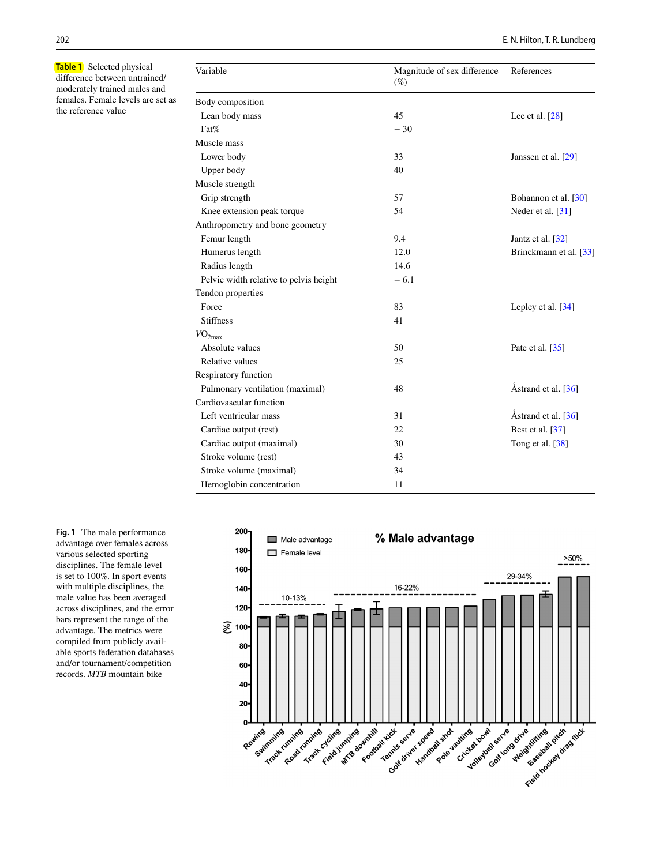<span id="page-3-0"></span>**Table 1** Selected physical diference between untrained/ moderately trained males and females. Female levels are set as the reference value

Respiratory function

Cardiovascular function

 $VO_{2max}$ 

Stiffness 41

Relative values 25

Stroke volume (rest) 43 Stroke volume (maximal) 34 Hemoglobin concentration 11

| Variable                               | Magnitude of sex difference<br>$(\%)$ | References                      |  |
|----------------------------------------|---------------------------------------|---------------------------------|--|
| Body composition                       |                                       |                                 |  |
| Lean body mass                         | 45                                    | Lee et al. $[28]$               |  |
| $\text{Fat}\%$                         | $-30$                                 |                                 |  |
| Muscle mass                            |                                       |                                 |  |
| Lower body                             | 33                                    | Janssen et al. $[29]$           |  |
| Upper body                             | 40                                    |                                 |  |
| Muscle strength                        |                                       |                                 |  |
| Grip strength                          | 57                                    | Bohannon et al. [30]            |  |
| Knee extension peak torque             | 54                                    | Neder et al. $\lceil 31 \rceil$ |  |
| Anthropometry and bone geometry        |                                       |                                 |  |
| Femur length                           | 9.4                                   | Jantz et al. $[32]$             |  |
| Humerus length                         | 12.0                                  | Brinckmann et al. [33]          |  |
| Radius length                          | 14.6                                  |                                 |  |
| Pelvic width relative to pelvis height | $-6.1$                                |                                 |  |
| Tendon properties                      |                                       |                                 |  |

<span id="page-3-1"></span>**Fig. 1** The male performance advantage over females across various selected sporting disciplines. The female level is set to 100%. In sport events with multiple disciplines, the male value has been averaged across disciplines, and the error bars represent the range of the advantage. The metrics were compiled from publicly available sports federation databases and/or tournament/competition records. *MTB* mountain bike

 $200 -$ % Male advantage Male advantage  $180<sub>0</sub>$  $\Box$  Female level  $50\%$  $160 -$ 29-34% 16-22%  $140 -$ 10-13%  $120$  $\sqrt{2}$  100-80 60  $40 20<sub>1</sub>$ L. LL. LL. LL.<br>ine state of ptch at or and HIHHHH HIHHHHH ALLALLA<br>Bandwin kick<br>codoxennie HUHUHUH ALLALLA<br>Passage valuime<br>Passage crickes L\_LL\_LL\_<br>ine your save L. LL. LL.<br>stregged street<br>foot vors weeks HALLALLA<br>Sa nino nino<br>simmok vanakva ALLALLA ALL-ALL-<br>Oshinoninos ALLALLA ALLALLA ALLALLA Cricked Base  $\Omega$ Rowins

Force 83 Lepley et al. [[34](#page-14-5)]

Absolute values 50 Pate et al. [[35](#page-14-6)]

Pulmonary ventilation (maximal) 48 Åstrand et al. [\[36\]](#page-14-7)

Left ventricular mass 31 Åstrand et al. [\[36\]](#page-14-7) Cardiac output (rest) 22 Best et al. [\[37\]](#page-14-8) Cardiac output (maximal) 30 Tong et al. [\[38\]](#page-14-0)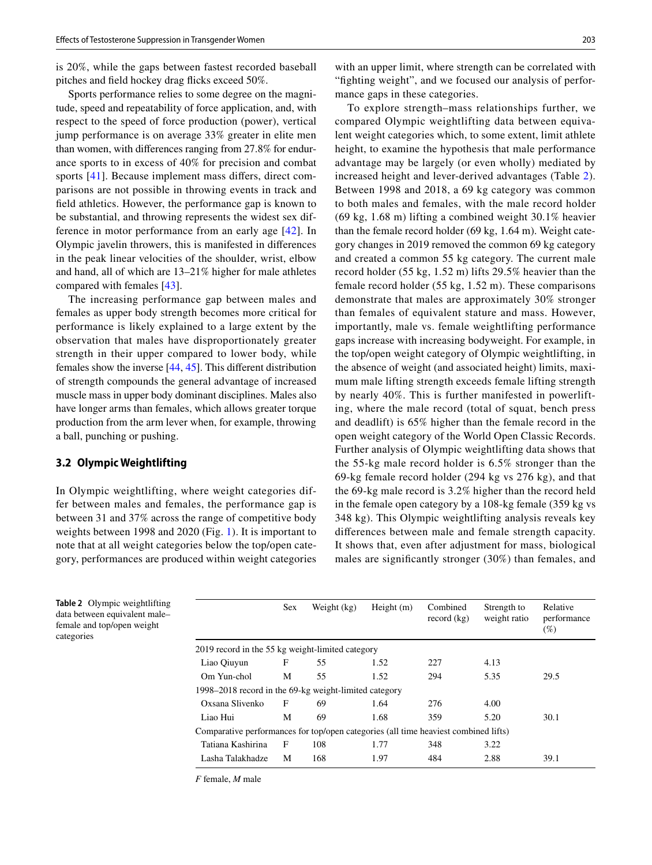is 20%, while the gaps between fastest recorded baseball pitches and feld hockey drag ficks exceed 50%.

Sports performance relies to some degree on the magnitude, speed and repeatability of force application, and, with respect to the speed of force production (power), vertical jump performance is on average 33% greater in elite men than women, with diferences ranging from 27.8% for endurance sports to in excess of 40% for precision and combat sports [\[41\]](#page-14-9). Because implement mass differs, direct comparisons are not possible in throwing events in track and feld athletics. However, the performance gap is known to be substantial, and throwing represents the widest sex difference in motor performance from an early age [[42](#page-14-10)]. In Olympic javelin throwers, this is manifested in diferences in the peak linear velocities of the shoulder, wrist, elbow and hand, all of which are 13–21% higher for male athletes compared with females [[43\]](#page-14-11).

The increasing performance gap between males and females as upper body strength becomes more critical for performance is likely explained to a large extent by the observation that males have disproportionately greater strength in their upper compared to lower body, while females show the inverse [[44,](#page-14-12) [45\]](#page-14-13). This diferent distribution of strength compounds the general advantage of increased muscle mass in upper body dominant disciplines. Males also have longer arms than females, which allows greater torque production from the arm lever when, for example, throwing a ball, punching or pushing.

#### **3.2 Olympic Weightlifting**

In Olympic weightlifting, where weight categories differ between males and females, the performance gap is between 31 and 37% across the range of competitive body weights between 1998 and 2020 (Fig. [1\)](#page-3-1). It is important to note that at all weight categories below the top/open category, performances are produced within weight categories

with an upper limit, where strength can be correlated with "fghting weight", and we focused our analysis of performance gaps in these categories.

To explore strength–mass relationships further, we compared Olympic weightlifting data between equivalent weight categories which, to some extent, limit athlete height, to examine the hypothesis that male performance advantage may be largely (or even wholly) mediated by increased height and lever-derived advantages (Table [2](#page-4-0)). Between 1998 and 2018, a 69 kg category was common to both males and females, with the male record holder (69 kg, 1.68 m) lifting a combined weight 30.1% heavier than the female record holder (69 kg, 1.64 m). Weight category changes in 2019 removed the common 69 kg category and created a common 55 kg category. The current male record holder (55 kg, 1.52 m) lifts 29.5% heavier than the female record holder (55 kg, 1.52 m). These comparisons demonstrate that males are approximately 30% stronger than females of equivalent stature and mass. However, importantly, male vs. female weightlifting performance gaps increase with increasing bodyweight. For example, in the top/open weight category of Olympic weightlifting, in the absence of weight (and associated height) limits, maximum male lifting strength exceeds female lifting strength by nearly 40%. This is further manifested in powerlifting, where the male record (total of squat, bench press and deadlift) is 65% higher than the female record in the open weight category of the World Open Classic Records. Further analysis of Olympic weightlifting data shows that the 55-kg male record holder is 6.5% stronger than the 69-kg female record holder (294 kg vs 276 kg), and that the 69-kg male record is 3.2% higher than the record held in the female open category by a 108-kg female (359 kg vs 348 kg). This Olympic weightlifting analysis reveals key diferences between male and female strength capacity. It shows that, even after adjustment for mass, biological males are signifcantly stronger (30%) than females, and

<span id="page-4-0"></span>**Table 2** Olympic weightlifting data between equivalent male– female and top/open weight categories

|                                                                                     | <b>Sex</b> | Weight (kg) | Height $(m)$ | Combined<br>record (kg) | Strength to<br>weight ratio | Relative<br>performance<br>$(\%)$ |
|-------------------------------------------------------------------------------------|------------|-------------|--------------|-------------------------|-----------------------------|-----------------------------------|
| 2019 record in the 55 kg weight-limited category                                    |            |             |              |                         |                             |                                   |
| Liao Qiuyun                                                                         | F          | 55          | 1.52         | 227                     | 4.13                        |                                   |
| Om Yun-chol                                                                         | М          | 55          | 1.52         | 294                     | 5.35                        | 29.5                              |
| 1998–2018 record in the 69-kg weight-limited category                               |            |             |              |                         |                             |                                   |
| Oxsana Slivenko                                                                     | F          | 69          | 1.64         | 276                     | 4.00                        |                                   |
| Liao Hui                                                                            | М          | 69          | 1.68         | 359                     | 5.20                        | 30.1                              |
| Comparative performances for top/open categories (all time heaviest combined lifts) |            |             |              |                         |                             |                                   |
| Tatiana Kashirina                                                                   | F          | 108         | 1.77         | 348                     | 3.22                        |                                   |
| Lasha Talakhadze                                                                    | М          | 168         | 1.97         | 484                     | 2.88                        | 39.1                              |

*F* female, *M* male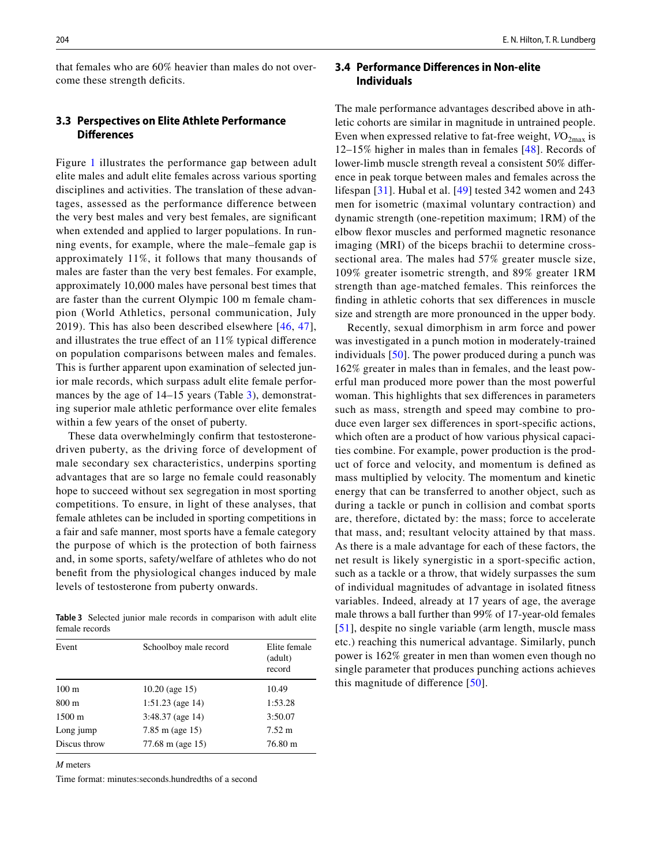that females who are 60% heavier than males do not overcome these strength deficits.

## **3.3 Perspectives on Elite Athlete Performance Diferences**

Figure [1](#page-3-1) illustrates the performance gap between adult elite males and adult elite females across various sporting disciplines and activities. The translation of these advantages, assessed as the performance diference between the very best males and very best females, are signifcant when extended and applied to larger populations. In running events, for example, where the male–female gap is approximately 11%, it follows that many thousands of males are faster than the very best females. For example, approximately 10,000 males have personal best times that are faster than the current Olympic 100 m female champion (World Athletics, personal communication, July 2019). This has also been described elsewhere [[46,](#page-14-14) [47](#page-14-15)], and illustrates the true efect of an 11% typical diference on population comparisons between males and females. This is further apparent upon examination of selected junior male records, which surpass adult elite female perfor-mances by the age of 14–15 years (Table [3\)](#page-5-0), demonstrating superior male athletic performance over elite females within a few years of the onset of puberty.

These data overwhelmingly confrm that testosteronedriven puberty, as the driving force of development of male secondary sex characteristics, underpins sporting advantages that are so large no female could reasonably hope to succeed without sex segregation in most sporting competitions. To ensure, in light of these analyses, that female athletes can be included in sporting competitions in a fair and safe manner, most sports have a female category the purpose of which is the protection of both fairness and, in some sports, safety/welfare of athletes who do not beneft from the physiological changes induced by male levels of testosterone from puberty onwards.

<span id="page-5-0"></span>**Table 3** Selected junior male records in comparison with adult elite female records

| Event            | Schoolboy male record     | Elite female<br>(adult)<br>record |  |
|------------------|---------------------------|-----------------------------------|--|
| $100 \text{ m}$  | $10.20$ (age 15)          | 10.49                             |  |
| 800 m            | $1:51.23$ (age 14)        | 1:53.28                           |  |
| $1500 \text{ m}$ | $3:48.37$ (age 14)        | 3:50.07                           |  |
| Long jump        | $7.85 \text{ m}$ (age 15) | $7.52 \text{ m}$                  |  |
| Discus throw     | 77.68 m (age 15)          | 76.80 m                           |  |

*M* meters

Time format: minutes:seconds.hundredths of a second

# **3.4 Performance Diferences in Non‑elite Individuals**

The male performance advantages described above in athletic cohorts are similar in magnitude in untrained people. Even when expressed relative to fat-free weight,  $VO_{2\text{max}}$  is 12–15% higher in males than in females [[48](#page-14-16)]. Records of lower-limb muscle strength reveal a consistent 50% diference in peak torque between males and females across the lifespan [[31](#page-13-25)]. Hubal et al. [[49](#page-14-17)] tested 342 women and 243 men for isometric (maximal voluntary contraction) and dynamic strength (one-repetition maximum; 1RM) of the elbow fexor muscles and performed magnetic resonance imaging (MRI) of the biceps brachii to determine crosssectional area. The males had 57% greater muscle size, 109% greater isometric strength, and 89% greater 1RM strength than age-matched females. This reinforces the fnding in athletic cohorts that sex diferences in muscle size and strength are more pronounced in the upper body.

Recently, sexual dimorphism in arm force and power was investigated in a punch motion in moderately-trained individuals [\[50\]](#page-14-18). The power produced during a punch was 162% greater in males than in females, and the least powerful man produced more power than the most powerful woman. This highlights that sex diferences in parameters such as mass, strength and speed may combine to produce even larger sex diferences in sport-specifc actions, which often are a product of how various physical capacities combine. For example, power production is the product of force and velocity, and momentum is defned as mass multiplied by velocity. The momentum and kinetic energy that can be transferred to another object, such as during a tackle or punch in collision and combat sports are, therefore, dictated by: the mass; force to accelerate that mass, and; resultant velocity attained by that mass. As there is a male advantage for each of these factors, the net result is likely synergistic in a sport-specifc action, such as a tackle or a throw, that widely surpasses the sum of individual magnitudes of advantage in isolated ftness variables. Indeed, already at 17 years of age, the average male throws a ball further than 99% of 17-year-old females [[51](#page-14-19)], despite no single variable (arm length, muscle mass etc.) reaching this numerical advantage. Similarly, punch power is 162% greater in men than women even though no single parameter that produces punching actions achieves this magnitude of diference [\[50\]](#page-14-18).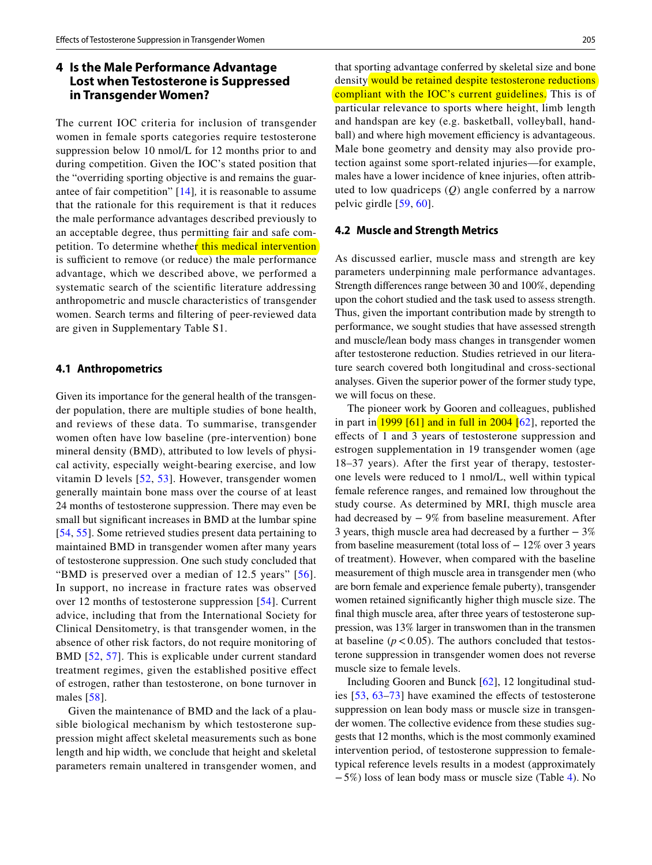# **4 Is the Male Performance Advantage Lost when Testosterone is Suppressed in Transgender Women?**

The current IOC criteria for inclusion of transgender women in female sports categories require testosterone suppression below 10 nmol/L for 12 months prior to and during competition. Given the IOC's stated position that the "overriding sporting objective is and remains the guarantee of fair competition" [[14](#page-13-8)]*,* it is reasonable to assume that the rationale for this requirement is that it reduces the male performance advantages described previously to an acceptable degree, thus permitting fair and safe competition. To determine whether this medical intervention is sufficient to remove (or reduce) the male performance advantage, which we described above, we performed a systematic search of the scientifc literature addressing anthropometric and muscle characteristics of transgender women. Search terms and fltering of peer-reviewed data are given in Supplementary Table S1.

#### **4.1 Anthropometrics**

Given its importance for the general health of the transgender population, there are multiple studies of bone health, and reviews of these data. To summarise, transgender women often have low baseline (pre-intervention) bone mineral density (BMD), attributed to low levels of physical activity, especially weight-bearing exercise, and low vitamin D levels [[52](#page-14-20), [53](#page-14-21)]. However, transgender women generally maintain bone mass over the course of at least 24 months of testosterone suppression. There may even be small but signifcant increases in BMD at the lumbar spine [[54,](#page-14-22) [55](#page-14-23)]. Some retrieved studies present data pertaining to maintained BMD in transgender women after many years of testosterone suppression. One such study concluded that "BMD is preserved over a median of 12.5 years" [[56\]](#page-14-24). In support, no increase in fracture rates was observed over 12 months of testosterone suppression [[54](#page-14-22)]. Current advice, including that from the International Society for Clinical Densitometry, is that transgender women, in the absence of other risk factors, do not require monitoring of BMD [[52](#page-14-20), [57](#page-14-25)]. This is explicable under current standard treatment regimes, given the established positive efect of estrogen, rather than testosterone, on bone turnover in males [\[58\]](#page-14-26).

Given the maintenance of BMD and the lack of a plausible biological mechanism by which testosterone suppression might afect skeletal measurements such as bone length and hip width, we conclude that height and skeletal parameters remain unaltered in transgender women, and that sporting advantage conferred by skeletal size and bone density would be retained despite testosterone reductions compliant with the IOC's current guidelines. This is of particular relevance to sports where height, limb length and handspan are key (e.g. basketball, volleyball, handball) and where high movement efficiency is advantageous. Male bone geometry and density may also provide protection against some sport-related injuries—for example, males have a lower incidence of knee injuries, often attributed to low quadriceps (*Q*) angle conferred by a narrow pelvic girdle [[59](#page-14-27), [60\]](#page-14-28).

#### **4.2 Muscle and Strength Metrics**

As discussed earlier, muscle mass and strength are key parameters underpinning male performance advantages. Strength diferences range between 30 and 100%, depending upon the cohort studied and the task used to assess strength. Thus, given the important contribution made by strength to performance, we sought studies that have assessed strength and muscle/lean body mass changes in transgender women after testosterone reduction. Studies retrieved in our literature search covered both longitudinal and cross-sectional analyses. Given the superior power of the former study type, we will focus on these.

The pioneer work by Gooren and colleagues, published in part in  $\frac{1999}{61}$  and in full in 2004  $[62]$  $[62]$  $[62]$ , reported the efects of 1 and 3 years of testosterone suppression and estrogen supplementation in 19 transgender women (age 18–37 years). After the first year of therapy, testosterone levels were reduced to 1 nmol/L, well within typical female reference ranges, and remained low throughout the study course. As determined by MRI, thigh muscle area had decreased by − 9% from baseline measurement. After 3 years, thigh muscle area had decreased by a further − 3% from baseline measurement (total loss of − 12% over 3 years of treatment). However, when compared with the baseline measurement of thigh muscle area in transgender men (who are born female and experience female puberty), transgender women retained signifcantly higher thigh muscle size. The fnal thigh muscle area, after three years of testosterone suppression, was 13% larger in transwomen than in the transmen at baseline  $(p < 0.05)$ . The authors concluded that testosterone suppression in transgender women does not reverse muscle size to female levels.

Including Gooren and Bunck [\[62](#page-14-30)], 12 longitudinal studies [\[53,](#page-14-21) [63–](#page-14-31)[73](#page-15-0)] have examined the efects of testosterone suppression on lean body mass or muscle size in transgender women. The collective evidence from these studies suggests that 12 months, which is the most commonly examined intervention period, of testosterone suppression to femaletypical reference levels results in a modest (approximately −5%) loss of lean body mass or muscle size (Table [4](#page-7-0)). No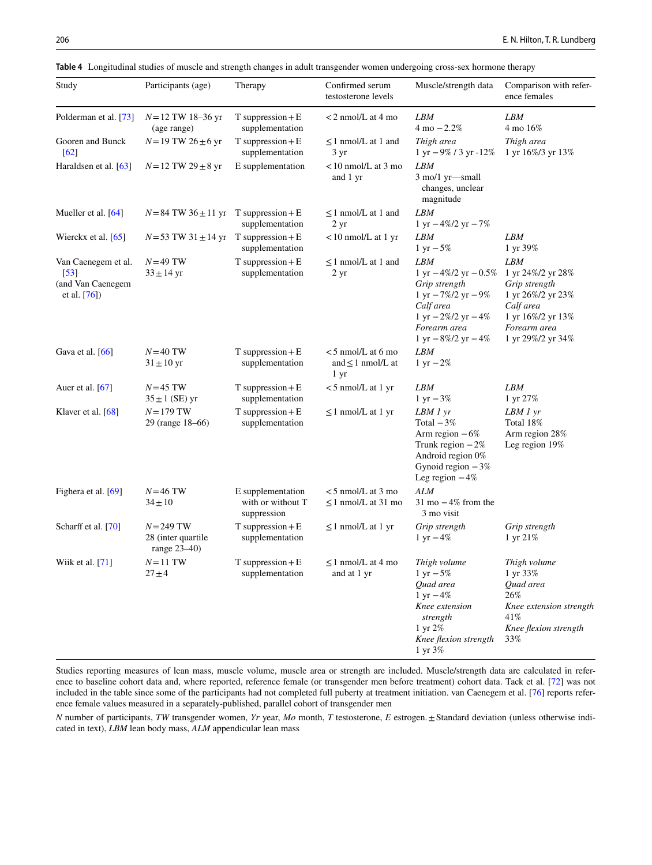<span id="page-7-0"></span>**Table 4** Longitudinal studies of muscle and strength changes in adult transgender women undergoing cross-sex hormone therapy

| Study                                                               | Participants (age)                                    | Therapy                                               | Confirmed serum<br>testosterone levels                 | Muscle/strength data                                                                                                                                                                                     | Comparison with refer-<br>ence females                                                                                                |
|---------------------------------------------------------------------|-------------------------------------------------------|-------------------------------------------------------|--------------------------------------------------------|----------------------------------------------------------------------------------------------------------------------------------------------------------------------------------------------------------|---------------------------------------------------------------------------------------------------------------------------------------|
| Polderman et al. [73]                                               | $N = 12$ TW 18-36 yr<br>(age range)                   | $T$ suppression + E<br>supplementation                | $<$ 2 nmol/L at 4 mo                                   | <b>LBM</b><br>$4 \text{ mo} - 2.2\%$                                                                                                                                                                     | LBM<br>4 mo 16%                                                                                                                       |
| Gooren and Bunck<br>[62]                                            | $N = 19$ TW 26 $\pm$ 6 yr                             | $T$ suppression + E<br>supplementation                | $\leq$ 1 nmol/L at 1 and<br>$3 \text{ yr}$             | Thigh area<br>$1 \text{ yr} - 9\% / 3 \text{ yr} - 12\%$                                                                                                                                                 | Thigh area<br>1 yr 16%/3 yr 13%                                                                                                       |
| Haraldsen et al. [63]                                               | $N = 12$ TW 29 $\pm$ 8 yr                             | E supplementation                                     | $<$ 10 nmol/L at 3 mo<br>and 1 yr                      | <b>LBM</b><br>3 mo/1 yr-small<br>changes, unclear<br>magnitude                                                                                                                                           |                                                                                                                                       |
| Mueller et al. $[64]$                                               | $N = 84$ TW 36 $\pm$ 11 yr T suppression + E          | supplementation                                       | $\leq$ 1 nmol/L at 1 and<br>$2 \text{ yr}$             | <b>LBM</b><br>1 yr $-4\%/2$ yr $-7\%$                                                                                                                                                                    |                                                                                                                                       |
| Wierckx et al. $[65]$                                               | $N = 53$ TW 31 $\pm$ 14 yr T suppression + E          | supplementation                                       | $<$ 10 nmol/L at 1 yr                                  | <b>LBM</b><br>$1 \text{ yr} - 5\%$                                                                                                                                                                       | LBM<br>1 yr 39%                                                                                                                       |
| Van Caenegem et al.<br>$[53]$<br>(and Van Caenegem<br>et al. $[76]$ | $N = 49$ TW<br>$33 \pm 14$ yr                         | $T$ suppression + E<br>supplementation                | $\leq$ 1 nmol/L at 1 and<br>$2 \text{ yr}$             | <b>LBM</b><br>1 yr $-4\%/2$ yr $-0.5\%$<br>Grip strength<br>1 yr $-7\%/2$ yr $-9\%$<br>Calf area<br>$1 \text{ yr} - 2\% / 2 \text{ yr} - 4\%$<br>Forearm area<br>$1 \text{ yr} - 8\%/2 \text{ yr} - 4\%$ | LBM<br>1 yr 24%/2 yr 28%<br>Grip strength<br>1 yr 26%/2 yr 23%<br>Calf area<br>1 yr 16%/2 yr 13%<br>Forearm area<br>1 yr 29%/2 yr 34% |
| Gava et al. [66]                                                    | $N = 40$ TW<br>$31 \pm 10$ yr                         | $T$ suppression + E<br>supplementation                | $<$ 5 nmol/L at 6 mo<br>and $\leq 1$ nmol/L at<br>1 yr | <b>LBM</b><br>$1 \text{ yr} - 2\%$                                                                                                                                                                       |                                                                                                                                       |
| Auer et al. [67]                                                    | $N=45$ TW<br>$35 \pm 1$ (SE) yr                       | $T$ suppression + E<br>supplementation                | $<$ 5 nmol/L at 1 yr                                   | <b>LBM</b><br>$1 \text{ yr} - 3\%$                                                                                                                                                                       | <b>LBM</b><br>1 yr $27%$                                                                                                              |
| Klaver et al. [68]                                                  | $N = 179$ TW<br>29 (range 18–66)                      | $T$ suppression + E<br>supplementation                | $\leq$ 1 nmol/L at 1 yr                                | $LBM$ 1 yr<br>Total $-3%$<br>Arm region $-6\%$<br>Trunk region $-2\%$<br>Android region 0%<br>Gynoid region $-3\%$<br>Leg region $-4\%$                                                                  | $LBM$ 1 yr<br>Total 18%<br>Arm region 28%<br>Leg region $19\%$                                                                        |
| Fighera et al. $[69]$                                               | $N = 46$ TW<br>$34 \pm 10$                            | E supplementation<br>with or without T<br>suppression | $<$ 5 nmol/L at 3 mo<br>$\leq$ 1 nmol/L at 31 mo       | <b>ALM</b><br>$31 \text{ mo} - 4\%$ from the<br>3 mo visit                                                                                                                                               |                                                                                                                                       |
| Scharff et al. [70]                                                 | $N = 249$ TW<br>28 (inter quartile<br>range $23-40$ ) | $T$ suppression + E<br>supplementation                | $\leq$ 1 nmol/L at 1 yr                                | Grip strength<br>$1 \text{ yr} - 4\%$                                                                                                                                                                    | Grip strength<br>1 yr 21%                                                                                                             |
| Wiik et al. [71]                                                    | $N = 11$ TW<br>$27 \pm 4$                             | $T$ suppression + E<br>supplementation                | $\leq$ 1 nmol/L at 4 mo<br>and at 1 yr                 | Thigh volume<br>$1 \text{ yr} - 5\%$<br>Quad area<br>$1 \text{ yr} - 4\%$<br>Knee extension<br>strength<br>1 yr 2%<br>Knee flexion strength<br>$1 \,\mathrm{yr} \,3\%$                                   | Thigh volume<br>1 yr 33%<br>Quad area<br>26%<br>Knee extension strength<br>41%<br>Knee flexion strength<br>33%                        |

Studies reporting measures of lean mass, muscle volume, muscle area or strength are included. Muscle/strength data are calculated in reference to baseline cohort data and, where reported, reference female (or transgender men before treatment) cohort data. Tack et al. [[72](#page-15-1)] was not included in the table since some of the participants had not completed full puberty at treatment initiation. van Caenegem et al. [\[76\]](#page-15-2) reports reference female values measured in a separately-published, parallel cohort of transgender men

*N* number of participants, *TW* transgender women, *Yr* year, *Mo* month, *T* testosterone, *E* estrogen.±Standard deviation (unless otherwise indicated in text), *LBM* lean body mass, *ALM* appendicular lean mass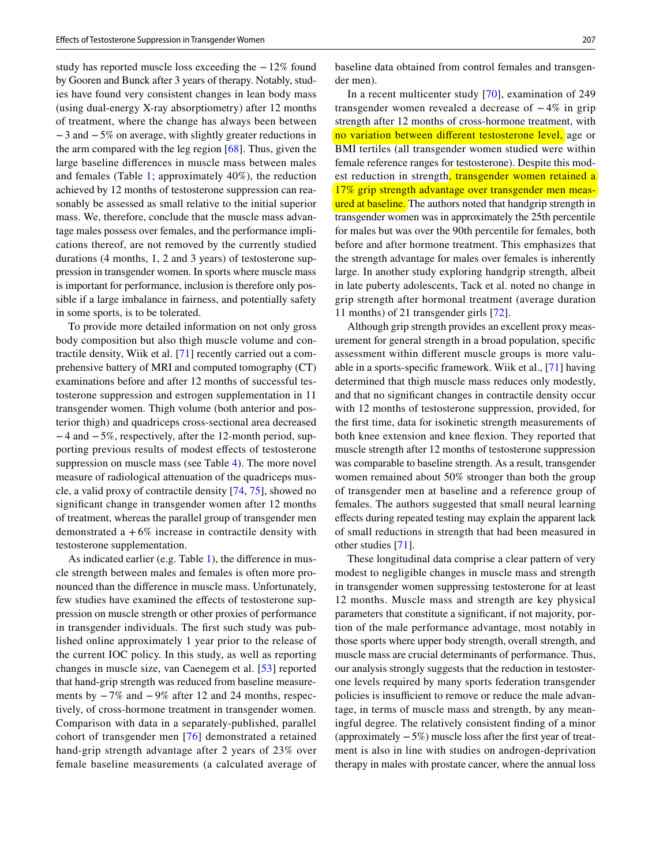study has reported muscle loss exceeding the −12% found by Gooren and Bunck after 3 years of therapy. Notably, studies have found very consistent changes in lean body mass (using dual-energy X-ray absorptiometry) after 12 months of treatment, where the change has always been between −3 and −5% on average, with slightly greater reductions in the arm compared with the leg region [\[68](#page-14-36)]. Thus, given the large baseline diferences in muscle mass between males and females (Table [1;](#page-3-0) approximately 40%), the reduction achieved by 12 months of testosterone suppression can reasonably be assessed as small relative to the initial superior mass. We, therefore, conclude that the muscle mass advantage males possess over females, and the performance implications thereof, are not removed by the currently studied durations (4 months, 1, 2 and 3 years) of testosterone suppression in transgender women. In sports where muscle mass is important for performance, inclusion is therefore only possible if a large imbalance in fairness, and potentially safety in some sports, is to be tolerated.

To provide more detailed information on not only gross body composition but also thigh muscle volume and contractile density, Wiik et al. [[71\]](#page-14-39) recently carried out a comprehensive battery of MRI and computed tomography (CT) examinations before and after 12 months of successful testosterone suppression and estrogen supplementation in 11 transgender women. Thigh volume (both anterior and posterior thigh) and quadriceps cross-sectional area decreased −4 and −5%, respectively, after the 12-month period, supporting previous results of modest efects of testosterone suppression on muscle mass (see Table [4](#page-7-0)). The more novel measure of radiological attenuation of the quadriceps muscle, a valid proxy of contractile density [\[74](#page-15-3), [75](#page-15-4)], showed no signifcant change in transgender women after 12 months of treatment, whereas the parallel group of transgender men demonstrated a  $+6\%$  increase in contractile density with testosterone supplementation.

As indicated earlier (e.g. Table [1](#page-3-0)), the diference in muscle strength between males and females is often more pronounced than the diference in muscle mass. Unfortunately, few studies have examined the effects of testosterone suppression on muscle strength or other proxies of performance in transgender individuals. The frst such study was published online approximately 1 year prior to the release of the current IOC policy. In this study, as well as reporting changes in muscle size, van Caenegem et al. [[53\]](#page-14-21) reported that hand-grip strength was reduced from baseline measurements by  $-7\%$  and  $-9\%$  after 12 and 24 months, respectively, of cross-hormone treatment in transgender women. Comparison with data in a separately-published, parallel cohort of transgender men [\[76\]](#page-15-2) demonstrated a retained hand-grip strength advantage after 2 years of 23% over female baseline measurements (a calculated average of baseline data obtained from control females and transgender men).

In a recent multicenter study [[70](#page-14-38)], examination of 249 transgender women revealed a decrease of  $-4\%$  in grip strength after 12 months of cross-hormone treatment, with no variation between diferent testosterone level, age or BMI tertiles (all transgender women studied were within female reference ranges for testosterone). Despite this modest reduction in strength, transgender women retained a 17% grip strength advantage over transgender men measured at baseline. The authors noted that handgrip strength in transgender women was in approximately the 25th percentile for males but was over the 90th percentile for females, both before and after hormone treatment. This emphasizes that the strength advantage for males over females is inherently large. In another study exploring handgrip strength, albeit in late puberty adolescents, Tack et al. noted no change in grip strength after hormonal treatment (average duration 11 months) of 21 transgender girls [[72](#page-15-1)].

Although grip strength provides an excellent proxy measurement for general strength in a broad population, specifc assessment within diferent muscle groups is more valuable in a sports-specifc framework. Wiik et al., [\[71](#page-14-39)] having determined that thigh muscle mass reduces only modestly, and that no signifcant changes in contractile density occur with 12 months of testosterone suppression, provided, for the frst time, data for isokinetic strength measurements of both knee extension and knee fexion. They reported that muscle strength after 12 months of testosterone suppression was comparable to baseline strength. As a result, transgender women remained about 50% stronger than both the group of transgender men at baseline and a reference group of females. The authors suggested that small neural learning efects during repeated testing may explain the apparent lack of small reductions in strength that had been measured in other studies [\[71](#page-14-39)].

These longitudinal data comprise a clear pattern of very modest to negligible changes in muscle mass and strength in transgender women suppressing testosterone for at least 12 months. Muscle mass and strength are key physical parameters that constitute a signifcant, if not majority, portion of the male performance advantage, most notably in those sports where upper body strength, overall strength, and muscle mass are crucial determinants of performance. Thus, our analysis strongly suggests that the reduction in testosterone levels required by many sports federation transgender policies is insufficient to remove or reduce the male advantage, in terms of muscle mass and strength, by any meaningful degree. The relatively consistent fnding of a minor (approximately  $-5\%$ ) muscle loss after the first year of treatment is also in line with studies on androgen-deprivation therapy in males with prostate cancer, where the annual loss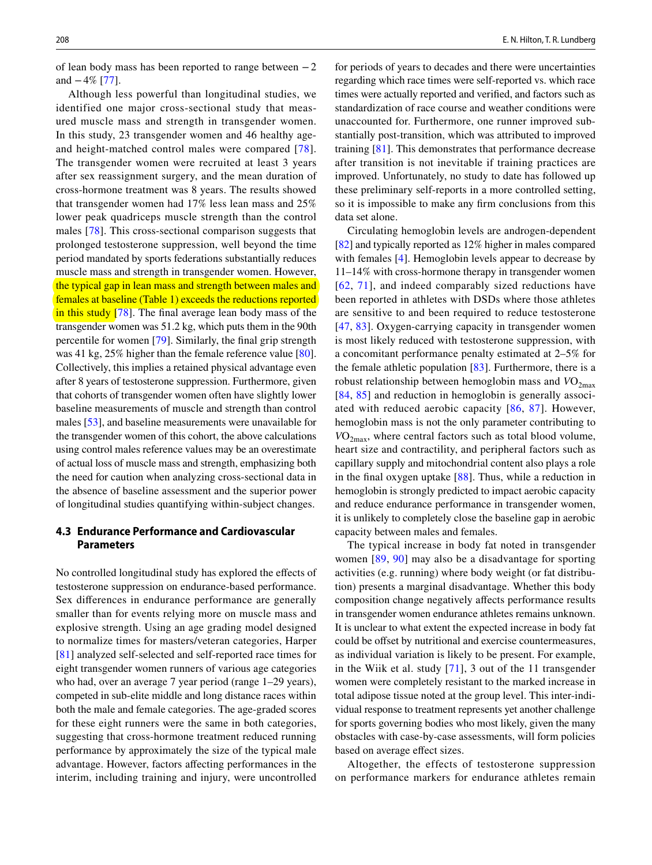of lean body mass has been reported to range between −2 and  $-4\%$  [[77\]](#page-15-5).

Although less powerful than longitudinal studies, we identified one major cross-sectional study that measured muscle mass and strength in transgender women. In this study, 23 transgender women and 46 healthy ageand height-matched control males were compared [[78](#page-15-6)]. The transgender women were recruited at least 3 years after sex reassignment surgery, and the mean duration of cross-hormone treatment was 8 years. The results showed that transgender women had 17% less lean mass and 25% lower peak quadriceps muscle strength than the control males [\[78](#page-15-6)]. This cross-sectional comparison suggests that prolonged testosterone suppression, well beyond the time period mandated by sports federations substantially reduces muscle mass and strength in transgender women. However, the typical gap in lean mass and strength between males and females at baseline (Table [1\)](#page-3-0) exceeds the reductions reported in this study [[78\]](#page-15-6). The final average lean body mass of the transgender women was 51.2 kg, which puts them in the 90th percentile for women [\[79](#page-15-7)]. Similarly, the fnal grip strength was 41 kg, 25% higher than the female reference value [\[80](#page-15-8)]. Collectively, this implies a retained physical advantage even after 8 years of testosterone suppression. Furthermore, given that cohorts of transgender women often have slightly lower baseline measurements of muscle and strength than control males [[53\]](#page-14-21), and baseline measurements were unavailable for the transgender women of this cohort, the above calculations using control males reference values may be an overestimate of actual loss of muscle mass and strength, emphasizing both the need for caution when analyzing cross-sectional data in the absence of baseline assessment and the superior power of longitudinal studies quantifying within-subject changes.

# **4.3 Endurance Performance and Cardiovascular Parameters**

No controlled longitudinal study has explored the efects of testosterone suppression on endurance-based performance. Sex diferences in endurance performance are generally smaller than for events relying more on muscle mass and explosive strength. Using an age grading model designed to normalize times for masters/veteran categories, Harper [\[81\]](#page-15-9) analyzed self-selected and self-reported race times for eight transgender women runners of various age categories who had, over an average 7 year period (range 1–29 years), competed in sub-elite middle and long distance races within both the male and female categories. The age-graded scores for these eight runners were the same in both categories, suggesting that cross-hormone treatment reduced running performance by approximately the size of the typical male advantage. However, factors afecting performances in the interim, including training and injury, were uncontrolled for periods of years to decades and there were uncertainties regarding which race times were self-reported vs. which race times were actually reported and verifed, and factors such as standardization of race course and weather conditions were unaccounted for. Furthermore, one runner improved substantially post-transition, which was attributed to improved training [\[81\]](#page-15-9). This demonstrates that performance decrease after transition is not inevitable if training practices are improved. Unfortunately, no study to date has followed up these preliminary self-reports in a more controlled setting, so it is impossible to make any frm conclusions from this data set alone.

Circulating hemoglobin levels are androgen-dependent [\[82](#page-15-10)] and typically reported as 12% higher in males compared with females [\[4](#page-13-3)]. Hemoglobin levels appear to decrease by 11–14% with cross-hormone therapy in transgender women [[62](#page-14-30), [71](#page-14-39)], and indeed comparably sized reductions have been reported in athletes with DSDs where those athletes are sensitive to and been required to reduce testosterone [[47,](#page-14-15) [83](#page-15-11)]. Oxygen-carrying capacity in transgender women is most likely reduced with testosterone suppression, with a concomitant performance penalty estimated at 2–5% for the female athletic population [[83\]](#page-15-11). Furthermore, there is a robust relationship between hemoglobin mass and  $VO<sub>2max</sub>$ [[84,](#page-15-12) [85\]](#page-15-13) and reduction in hemoglobin is generally associated with reduced aerobic capacity [[86,](#page-15-14) [87\]](#page-15-15). However, hemoglobin mass is not the only parameter contributing to  $VO_{2\text{max}}$ , where central factors such as total blood volume, heart size and contractility, and peripheral factors such as capillary supply and mitochondrial content also plays a role in the fnal oxygen uptake [\[88](#page-15-16)]. Thus, while a reduction in hemoglobin is strongly predicted to impact aerobic capacity and reduce endurance performance in transgender women, it is unlikely to completely close the baseline gap in aerobic capacity between males and females.

The typical increase in body fat noted in transgender women [[89](#page-15-17), [90](#page-15-18)] may also be a disadvantage for sporting activities (e.g. running) where body weight (or fat distribution) presents a marginal disadvantage. Whether this body composition change negatively afects performance results in transgender women endurance athletes remains unknown. It is unclear to what extent the expected increase in body fat could be offset by nutritional and exercise countermeasures, as individual variation is likely to be present. For example, in the Wiik et al. study [\[71\]](#page-14-39), 3 out of the 11 transgender women were completely resistant to the marked increase in total adipose tissue noted at the group level. This inter-individual response to treatment represents yet another challenge for sports governing bodies who most likely, given the many obstacles with case-by-case assessments, will form policies based on average efect sizes.

Altogether, the effects of testosterone suppression on performance markers for endurance athletes remain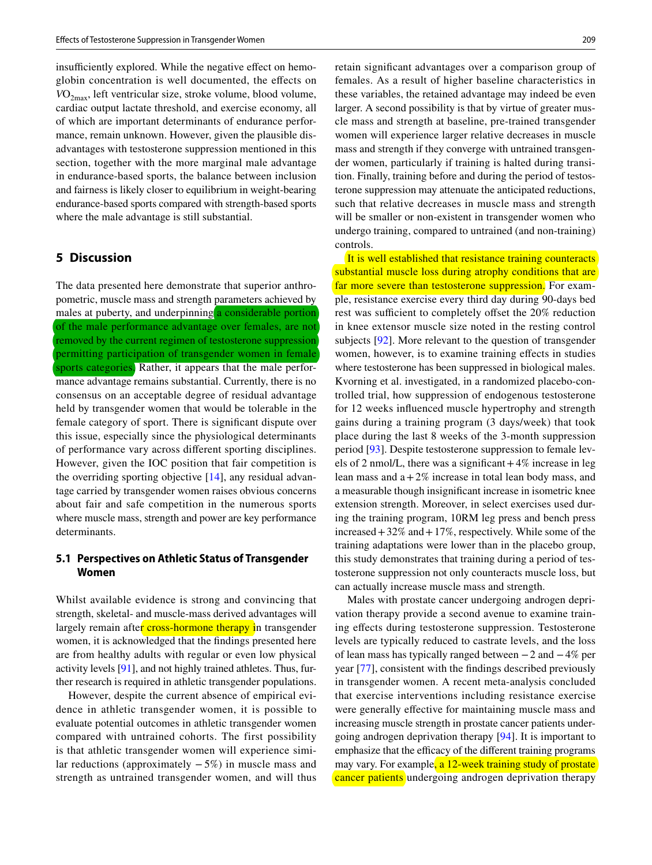insufficiently explored. While the negative effect on hemoglobin concentration is well documented, the efects on *V*O2max, left ventricular size, stroke volume, blood volume, cardiac output lactate threshold, and exercise economy, all of which are important determinants of endurance performance, remain unknown. However, given the plausible disadvantages with testosterone suppression mentioned in this section, together with the more marginal male advantage in endurance-based sports, the balance between inclusion and fairness is likely closer to equilibrium in weight-bearing endurance-based sports compared with strength-based sports where the male advantage is still substantial.

# **5 Discussion**

The data presented here demonstrate that superior anthropometric, muscle mass and strength parameters achieved by males at puberty, and underpinning a considerable portion of the male performance advantage over females, are no removed by the current regimen of testosterone suppression permitting participation of transgender women in female sports categories. Rather, it appears that the male performance advantage remains substantial. Currently, there is no consensus on an acceptable degree of residual advantage held by transgender women that would be tolerable in the female category of sport. There is signifcant dispute over this issue, especially since the physiological determinants of performance vary across diferent sporting disciplines. However, given the IOC position that fair competition is the overriding sporting objective  $[14]$  $[14]$ , any residual advantage carried by transgender women raises obvious concerns about fair and safe competition in the numerous sports where muscle mass, strength and power are key performance determinants.

## **5.1 Perspectives on Athletic Status of Transgender Women**

Whilst available evidence is strong and convincing that strength, skeletal- and muscle-mass derived advantages will largely remain after cross-hormone therapy in transgender women, it is acknowledged that the fndings presented here are from healthy adults with regular or even low physical activity levels [[91](#page-15-19)], and not highly trained athletes. Thus, further research is required in athletic transgender populations.

However, despite the current absence of empirical evidence in athletic transgender women, it is possible to evaluate potential outcomes in athletic transgender women compared with untrained cohorts. The first possibility is that athletic transgender women will experience similar reductions (approximately  $-5\%$ ) in muscle mass and strength as untrained transgender women, and will thus retain signifcant advantages over a comparison group of females. As a result of higher baseline characteristics in these variables, the retained advantage may indeed be even larger. A second possibility is that by virtue of greater muscle mass and strength at baseline, pre-trained transgender women will experience larger relative decreases in muscle mass and strength if they converge with untrained transgender women, particularly if training is halted during transition. Finally, training before and during the period of testosterone suppression may attenuate the anticipated reductions, such that relative decreases in muscle mass and strength will be smaller or non-existent in transgender women who undergo training, compared to untrained (and non-training) controls.

It is well established that resistance training counteracts substantial muscle loss during atrophy conditions that are far more severe than testosterone suppression. For example, resistance exercise every third day during 90-days bed rest was sufficient to completely offset the 20% reduction in knee extensor muscle size noted in the resting control subjects [[92](#page-15-20)]. More relevant to the question of transgender women, however, is to examine training effects in studies where testosterone has been suppressed in biological males. Kvorning et al. investigated, in a randomized placebo-controlled trial, how suppression of endogenous testosterone for 12 weeks infuenced muscle hypertrophy and strength gains during a training program (3 days/week) that took place during the last 8 weeks of the 3-month suppression period [[93\]](#page-15-21). Despite testosterone suppression to female levels of 2 nmol/L, there was a significant  $+4\%$  increase in leg lean mass and  $a + 2\%$  increase in total lean body mass, and a measurable though insignifcant increase in isometric knee extension strength. Moreover, in select exercises used during the training program, 10RM leg press and bench press increased  $+32\%$  and  $+17\%$ , respectively. While some of the training adaptations were lower than in the placebo group, this study demonstrates that training during a period of testosterone suppression not only counteracts muscle loss, but can actually increase muscle mass and strength.

Males with prostate cancer undergoing androgen deprivation therapy provide a second avenue to examine training efects during testosterone suppression. Testosterone levels are typically reduced to castrate levels, and the loss of lean mass has typically ranged between −2 and −4% per year [\[77](#page-15-5)], consistent with the fndings described previously in transgender women. A recent meta-analysis concluded that exercise interventions including resistance exercise were generally effective for maintaining muscle mass and increasing muscle strength in prostate cancer patients undergoing androgen deprivation therapy [\[94](#page-15-22)]. It is important to emphasize that the efficacy of the different training programs may vary. For example, a 12-week training study of prostate cancer patients undergoing androgen deprivation therapy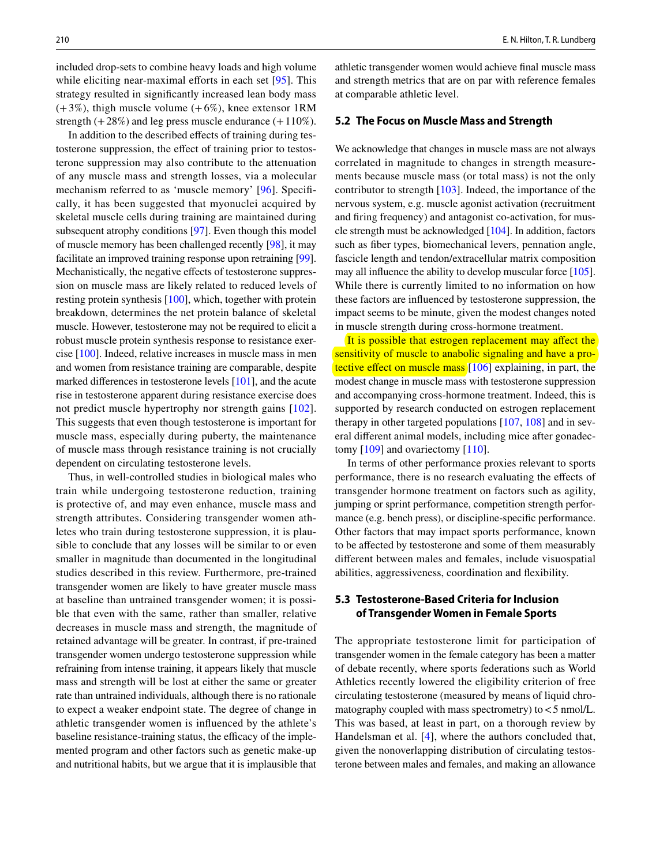included drop-sets to combine heavy loads and high volume while eliciting near-maximal efforts in each set  $[95]$  $[95]$  $[95]$ . This strategy resulted in signifcantly increased lean body mass  $(+3\%)$ , thigh muscle volume  $(+6\%)$ , knee extensor 1RM strength  $(+28%)$  and leg press muscle endurance  $(+110%).$ 

In addition to the described efects of training during testosterone suppression, the efect of training prior to testosterone suppression may also contribute to the attenuation of any muscle mass and strength losses, via a molecular mechanism referred to as 'muscle memory' [[96](#page-15-24)]. Specifcally, it has been suggested that myonuclei acquired by skeletal muscle cells during training are maintained during subsequent atrophy conditions [\[97](#page-15-25)]. Even though this model of muscle memory has been challenged recently [[98](#page-15-26)], it may facilitate an improved training response upon retraining [\[99](#page-15-27)]. Mechanistically, the negative effects of testosterone suppression on muscle mass are likely related to reduced levels of resting protein synthesis [\[100\]](#page-15-28), which, together with protein breakdown, determines the net protein balance of skeletal muscle. However, testosterone may not be required to elicit a robust muscle protein synthesis response to resistance exercise [\[100](#page-15-28)]. Indeed, relative increases in muscle mass in men and women from resistance training are comparable, despite marked diferences in testosterone levels [[101\]](#page-15-29), and the acute rise in testosterone apparent during resistance exercise does not predict muscle hypertrophy nor strength gains [[102](#page-15-30)]. This suggests that even though testosterone is important for muscle mass, especially during puberty, the maintenance of muscle mass through resistance training is not crucially dependent on circulating testosterone levels.

Thus, in well-controlled studies in biological males who train while undergoing testosterone reduction, training is protective of, and may even enhance, muscle mass and strength attributes. Considering transgender women athletes who train during testosterone suppression, it is plausible to conclude that any losses will be similar to or even smaller in magnitude than documented in the longitudinal studies described in this review. Furthermore, pre-trained transgender women are likely to have greater muscle mass at baseline than untrained transgender women; it is possible that even with the same, rather than smaller, relative decreases in muscle mass and strength, the magnitude of retained advantage will be greater. In contrast, if pre-trained transgender women undergo testosterone suppression while refraining from intense training, it appears likely that muscle mass and strength will be lost at either the same or greater rate than untrained individuals, although there is no rationale to expect a weaker endpoint state. The degree of change in athletic transgender women is infuenced by the athlete's baseline resistance-training status, the efficacy of the implemented program and other factors such as genetic make-up and nutritional habits, but we argue that it is implausible that athletic transgender women would achieve fnal muscle mass and strength metrics that are on par with reference females at comparable athletic level.

#### **5.2 The Focus on Muscle Mass and Strength**

We acknowledge that changes in muscle mass are not always correlated in magnitude to changes in strength measurements because muscle mass (or total mass) is not the only contributor to strength [\[103](#page-15-31)]. Indeed, the importance of the nervous system, e.g. muscle agonist activation (recruitment and fring frequency) and antagonist co-activation, for muscle strength must be acknowledged [[104\]](#page-15-32). In addition, factors such as fber types, biomechanical levers, pennation angle, fascicle length and tendon/extracellular matrix composition may all infuence the ability to develop muscular force [[105](#page-15-33)]. While there is currently limited to no information on how these factors are infuenced by testosterone suppression, the impact seems to be minute, given the modest changes noted in muscle strength during cross-hormone treatment.

It is possible that estrogen replacement may affect the sensitivity of muscle to anabolic signaling and have a pro-tective effect on muscle mass [\[106](#page-15-34)] explaining, in part, the modest change in muscle mass with testosterone suppression and accompanying cross-hormone treatment. Indeed, this is supported by research conducted on estrogen replacement therapy in other targeted populations [[107,](#page-15-35) [108](#page-15-36)] and in several diferent animal models, including mice after gonadectomy [\[109\]](#page-15-37) and ovariectomy [\[110\]](#page-15-38).

In terms of other performance proxies relevant to sports performance, there is no research evaluating the efects of transgender hormone treatment on factors such as agility, jumping or sprint performance, competition strength performance (e.g. bench press), or discipline-specifc performance. Other factors that may impact sports performance, known to be afected by testosterone and some of them measurably diferent between males and females, include visuospatial abilities, aggressiveness, coordination and fexibility.

# **5.3 Testosterone‑Based Criteria for Inclusion of Transgender Women in Female Sports**

The appropriate testosterone limit for participation of transgender women in the female category has been a matter of debate recently, where sports federations such as World Athletics recently lowered the eligibility criterion of free circulating testosterone (measured by means of liquid chromatography coupled with mass spectrometry) to  $<$  5 nmol/L. This was based, at least in part, on a thorough review by Handelsman et al. [[4](#page-13-3)], where the authors concluded that, given the nonoverlapping distribution of circulating testosterone between males and females, and making an allowance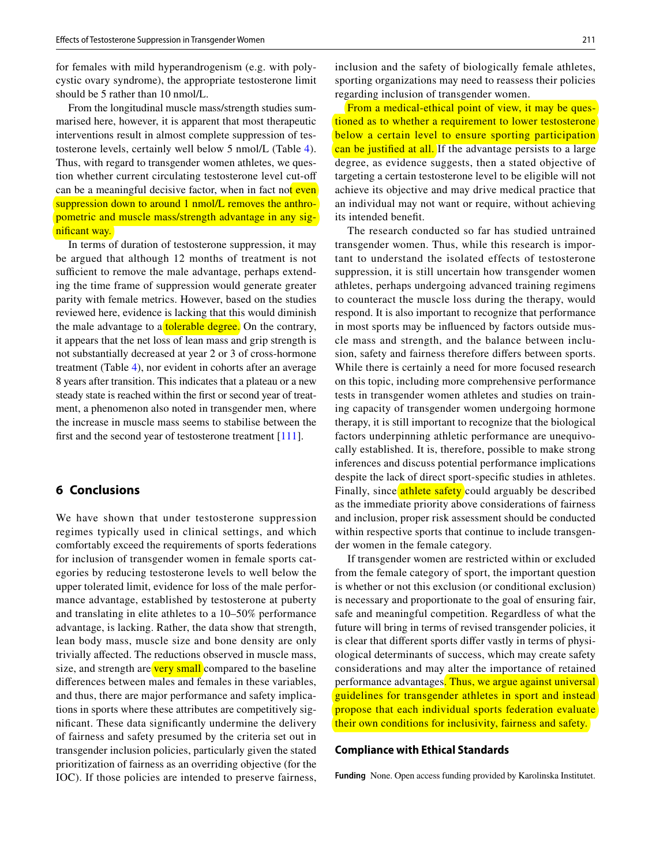for females with mild hyperandrogenism (e.g. with polycystic ovary syndrome), the appropriate testosterone limit should be 5 rather than 10 nmol/L.

From the longitudinal muscle mass/strength studies summarised here, however, it is apparent that most therapeutic interventions result in almost complete suppression of testosterone levels, certainly well below 5 nmol/L (Table [4](#page-7-0)). Thus, with regard to transgender women athletes, we question whether current circulating testosterone level cut-of can be a meaningful decisive factor, when in fact not even suppression down to around 1 nmol/L removes the anthropometric and muscle mass/strength advantage in any significant way.

In terms of duration of testosterone suppression, it may be argued that although 12 months of treatment is not sufficient to remove the male advantage, perhaps extending the time frame of suppression would generate greater parity with female metrics. However, based on the studies reviewed here, evidence is lacking that this would diminish the male advantage to a **tolerable degree**. On the contrary, it appears that the net loss of lean mass and grip strength is not substantially decreased at year 2 or 3 of cross-hormone treatment (Table [4](#page-7-0)), nor evident in cohorts after an average 8 years after transition. This indicates that a plateau or a new steady state is reached within the frst or second year of treatment, a phenomenon also noted in transgender men, where the increase in muscle mass seems to stabilise between the first and the second year of testosterone treatment [[111\]](#page-15-39).

# **6 Conclusions**

We have shown that under testosterone suppression regimes typically used in clinical settings, and which comfortably exceed the requirements of sports federations for inclusion of transgender women in female sports categories by reducing testosterone levels to well below the upper tolerated limit, evidence for loss of the male performance advantage, established by testosterone at puberty and translating in elite athletes to a 10–50% performance advantage, is lacking. Rather, the data show that strength, lean body mass, muscle size and bone density are only trivially afected. The reductions observed in muscle mass, size, and strength are very small compared to the baseline diferences between males and females in these variables, and thus, there are major performance and safety implications in sports where these attributes are competitively signifcant. These data signifcantly undermine the delivery of fairness and safety presumed by the criteria set out in transgender inclusion policies, particularly given the stated prioritization of fairness as an overriding objective (for the IOC). If those policies are intended to preserve fairness,

inclusion and the safety of biologically female athletes, sporting organizations may need to reassess their policies regarding inclusion of transgender women.

From a medical-ethical point of view, it may be questioned as to whether a requirement to lower testosterone below a certain level to ensure sporting participation can be justified at all. If the advantage persists to a large degree, as evidence suggests, then a stated objective of targeting a certain testosterone level to be eligible will not achieve its objective and may drive medical practice that an individual may not want or require, without achieving its intended beneft.

The research conducted so far has studied untrained transgender women. Thus, while this research is important to understand the isolated effects of testosterone suppression, it is still uncertain how transgender women athletes, perhaps undergoing advanced training regimens to counteract the muscle loss during the therapy, would respond. It is also important to recognize that performance in most sports may be infuenced by factors outside muscle mass and strength, and the balance between inclusion, safety and fairness therefore difers between sports. While there is certainly a need for more focused research on this topic, including more comprehensive performance tests in transgender women athletes and studies on training capacity of transgender women undergoing hormone therapy, it is still important to recognize that the biological factors underpinning athletic performance are unequivocally established. It is, therefore, possible to make strong inferences and discuss potential performance implications despite the lack of direct sport-specifc studies in athletes. Finally, since athlete safety could arguably be described as the immediate priority above considerations of fairness and inclusion, proper risk assessment should be conducted within respective sports that continue to include transgender women in the female category.

If transgender women are restricted within or excluded from the female category of sport, the important question is whether or not this exclusion (or conditional exclusion) is necessary and proportionate to the goal of ensuring fair, safe and meaningful competition. Regardless of what the future will bring in terms of revised transgender policies, it is clear that diferent sports difer vastly in terms of physiological determinants of success, which may create safety considerations and may alter the importance of retained performance advantages. Thus, we argue against universal guidelines for transgender athletes in sport and instead propose that each individual sports federation evaluate their own conditions for inclusivity, fairness and safety.

## **Compliance with Ethical Standards**

**Funding** None. Open access funding provided by Karolinska Institutet.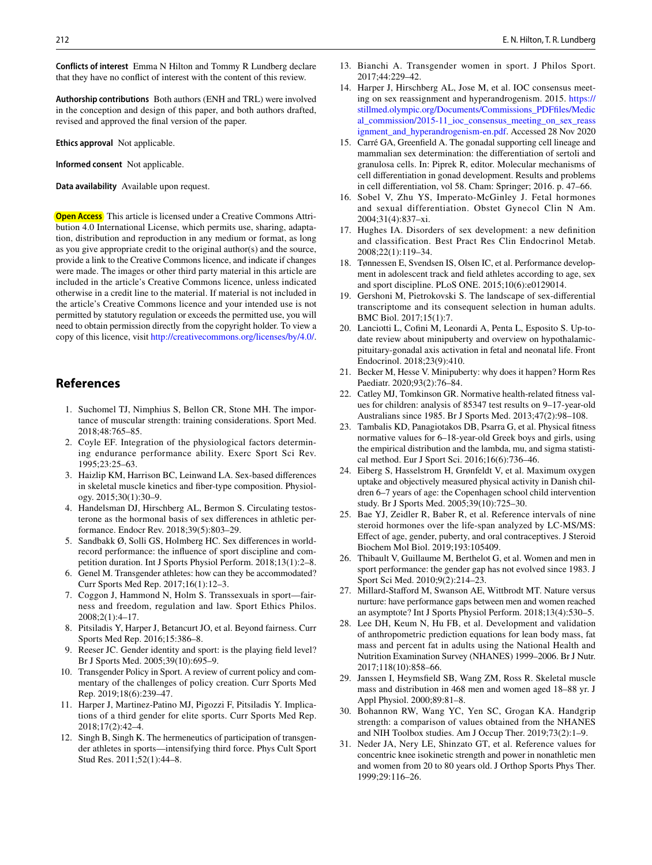**Conflicts of interest** Emma N Hilton and Tommy R Lundberg declare that they have no confict of interest with the content of this review.

**Authorship contributions** Both authors (ENH and TRL) were involved in the conception and design of this paper, and both authors drafted, revised and approved the fnal version of the paper.

**Ethics approval** Not applicable.

**Informed consent** Not applicable.

**Data availability** Available upon request.

**Open Access** This article is licensed under a Creative Commons Attribution 4.0 International License, which permits use, sharing, adaptation, distribution and reproduction in any medium or format, as long as you give appropriate credit to the original author(s) and the source, provide a link to the Creative Commons licence, and indicate if changes were made. The images or other third party material in this article are included in the article's Creative Commons licence, unless indicated otherwise in a credit line to the material. If material is not included in the article's Creative Commons licence and your intended use is not permitted by statutory regulation or exceeds the permitted use, you will need to obtain permission directly from the copyright holder. To view a copy of this licence, visit <http://creativecommons.org/licenses/by/4.0/>.

### **References**

- <span id="page-13-0"></span>1. Suchomel TJ, Nimphius S, Bellon CR, Stone MH. The importance of muscular strength: training considerations. Sport Med. 2018;48:765–85.
- <span id="page-13-1"></span>2. Coyle EF. Integration of the physiological factors determining endurance performance ability. Exerc Sport Sci Rev. 1995;23:25–63.
- <span id="page-13-2"></span>3. Haizlip KM, Harrison BC, Leinwand LA. Sex-based diferences in skeletal muscle kinetics and fber-type composition. Physiology. 2015;30(1):30–9.
- <span id="page-13-3"></span>4. Handelsman DJ, Hirschberg AL, Bermon S. Circulating testosterone as the hormonal basis of sex diferences in athletic performance. Endocr Rev. 2018;39(5):803–29.
- <span id="page-13-4"></span>5. Sandbakk Ø, Solli GS, Holmberg HC. Sex diferences in worldrecord performance: the infuence of sport discipline and competition duration. Int J Sports Physiol Perform. 2018;13(1):2–8.
- <span id="page-13-5"></span>6. Genel M. Transgender athletes: how can they be accommodated? Curr Sports Med Rep. 2017;16(1):12–3.
- <span id="page-13-6"></span>7. Coggon J, Hammond N, Holm S. Transsexuals in sport—fairness and freedom, regulation and law. Sport Ethics Philos. 2008;2(1):4–17.
- 8. Pitsiladis Y, Harper J, Betancurt JO, et al. Beyond fairness. Curr Sports Med Rep. 2016;15:386–8.
- Reeser JC. Gender identity and sport: is the playing field level? Br J Sports Med. 2005;39(10):695–9.
- 10. Transgender Policy in Sport. A review of current policy and commentary of the challenges of policy creation. Curr Sports Med Rep. 2019;18(6):239–47.
- 11. Harper J, Martinez-Patino MJ, Pigozzi F, Pitsiladis Y. Implications of a third gender for elite sports. Curr Sports Med Rep. 2018;17(2):42–4.
- 12. Singh B, Singh K. The hermeneutics of participation of transgender athletes in sports—intensifying third force. Phys Cult Sport Stud Res. 2011;52(1):44–8.
- <span id="page-13-7"></span>13. Bianchi A. Transgender women in sport. J Philos Sport. 2017;44:229–42.
- <span id="page-13-8"></span>14. Harper J, Hirschberg AL, Jose M, et al. IOC consensus meeting on sex reassignment and hyperandrogenism. 2015. [https://](https://stillmed.olympic.org/Documents/Commissions_PDFfiles/Medical_commission/2015-11_ioc_consensus_meeting_on_sex_reassignment_and_hyperandrogenism-en.pdf) [stillmed.olympic.org/Documents/Commissions\\_PDFfles/Medic](https://stillmed.olympic.org/Documents/Commissions_PDFfiles/Medical_commission/2015-11_ioc_consensus_meeting_on_sex_reassignment_and_hyperandrogenism-en.pdf) [al\\_commission/2015-11\\_ioc\\_consensus\\_meeting\\_on\\_sex\\_reass](https://stillmed.olympic.org/Documents/Commissions_PDFfiles/Medical_commission/2015-11_ioc_consensus_meeting_on_sex_reassignment_and_hyperandrogenism-en.pdf) [ignment\\_and\\_hyperandrogenism-en.pdf.](https://stillmed.olympic.org/Documents/Commissions_PDFfiles/Medical_commission/2015-11_ioc_consensus_meeting_on_sex_reassignment_and_hyperandrogenism-en.pdf) Accessed 28 Nov 2020
- <span id="page-13-9"></span>15. Carré GA, Greenfeld A. The gonadal supporting cell lineage and mammalian sex determination: the diferentiation of sertoli and granulosa cells. In: Piprek R, editor. Molecular mechanisms of cell diferentiation in gonad development. Results and problems in cell diferentiation, vol 58. Cham: Springer; 2016. p. 47–66.
- <span id="page-13-10"></span>16. Sobel V, Zhu YS, Imperato-McGinley J. Fetal hormones and sexual differentiation. Obstet Gynecol Clin N Am. 2004;31(4):837–xi.
- <span id="page-13-11"></span>17. Hughes IA. Disorders of sex development: a new defnition and classification. Best Pract Res Clin Endocrinol Metab. 2008;22(1):119–34.
- <span id="page-13-12"></span>18. Tønnessen E, Svendsen IS, Olsen IC, et al. Performance development in adolescent track and feld athletes according to age, sex and sport discipline. PLoS ONE. 2015;10(6):e0129014.
- <span id="page-13-13"></span>19. Gershoni M, Pietrokovski S. The landscape of sex-diferential transcriptome and its consequent selection in human adults. BMC Biol. 2017;15(1):7.
- <span id="page-13-14"></span>20. Lanciotti L, Cofni M, Leonardi A, Penta L, Esposito S. Up-todate review about minipuberty and overview on hypothalamicpituitary-gonadal axis activation in fetal and neonatal life. Front Endocrinol. 2018;23(9):410.
- <span id="page-13-15"></span>21. Becker M, Hesse V. Minipuberty: why does it happen? Horm Res Paediatr. 2020;93(2):76–84.
- <span id="page-13-16"></span>22. Catley MJ, Tomkinson GR. Normative health-related ftness values for children: analysis of 85347 test results on 9–17-year-old Australians since 1985. Br J Sports Med. 2013;47(2):98–108.
- <span id="page-13-17"></span>23. Tambalis KD, Panagiotakos DB, Psarra G, et al. Physical ftness normative values for 6–18-year-old Greek boys and girls, using the empirical distribution and the lambda, mu, and sigma statistical method. Eur J Sport Sci. 2016;16(6):736–46.
- <span id="page-13-18"></span>24. Eiberg S, Hasselstrom H, Grønfeldt V, et al. Maximum oxygen uptake and objectively measured physical activity in Danish children 6–7 years of age: the Copenhagen school child intervention study. Br J Sports Med. 2005;39(10):725–30.
- <span id="page-13-19"></span>25. Bae YJ, Zeidler R, Baber R, et al. Reference intervals of nine steroid hormones over the life-span analyzed by LC-MS/MS: Efect of age, gender, puberty, and oral contraceptives. J Steroid Biochem Mol Biol. 2019;193:105409.
- <span id="page-13-20"></span>26. Thibault V, Guillaume M, Berthelot G, et al. Women and men in sport performance: the gender gap has not evolved since 1983. J Sport Sci Med. 2010;9(2):214–23.
- <span id="page-13-21"></span>27. Millard-Staford M, Swanson AE, Wittbrodt MT. Nature versus nurture: have performance gaps between men and women reached an asymptote? Int J Sports Physiol Perform. 2018;13(4):530–5.
- <span id="page-13-22"></span>28. Lee DH, Keum N, Hu FB, et al. Development and validation of anthropometric prediction equations for lean body mass, fat mass and percent fat in adults using the National Health and Nutrition Examination Survey (NHANES) 1999–2006. Br J Nutr. 2017;118(10):858–66.
- <span id="page-13-23"></span>29. Janssen I, Heymsfeld SB, Wang ZM, Ross R. Skeletal muscle mass and distribution in 468 men and women aged 18–88 yr. J Appl Physiol. 2000;89:81–8.
- <span id="page-13-24"></span>30. Bohannon RW, Wang YC, Yen SC, Grogan KA. Handgrip strength: a comparison of values obtained from the NHANES and NIH Toolbox studies. Am J Occup Ther. 2019;73(2):1–9.
- <span id="page-13-25"></span>31. Neder JA, Nery LE, Shinzato GT, et al. Reference values for concentric knee isokinetic strength and power in nonathletic men and women from 20 to 80 years old. J Orthop Sports Phys Ther. 1999;29:116–26.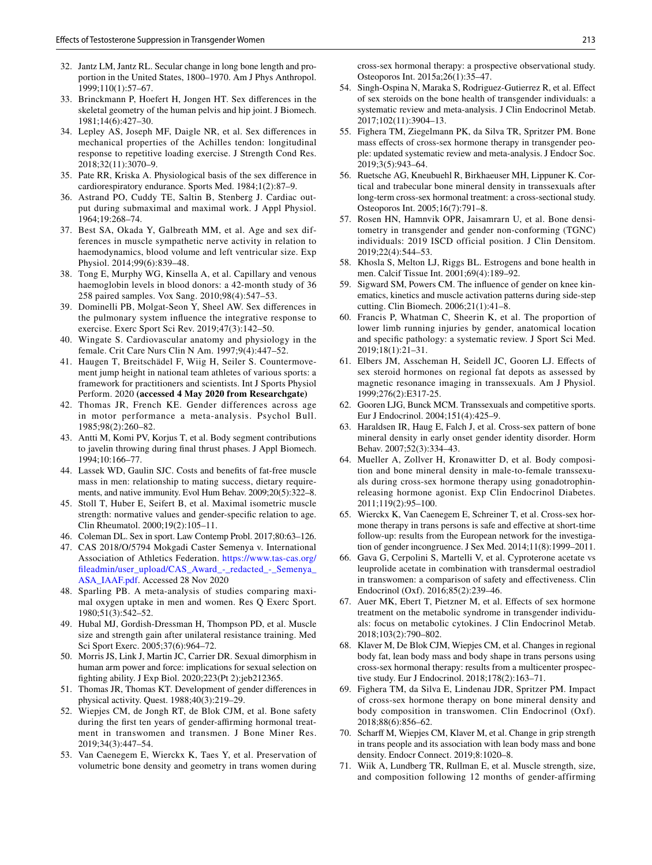- <span id="page-14-4"></span><span id="page-14-3"></span>33. Brinckmann P, Hoefert H, Jongen HT. Sex diferences in the skeletal geometry of the human pelvis and hip joint. J Biomech. 1981;14(6):427–30.
- <span id="page-14-5"></span>34. Lepley AS, Joseph MF, Daigle NR, et al. Sex diferences in mechanical properties of the Achilles tendon: longitudinal response to repetitive loading exercise. J Strength Cond Res. 2018;32(11):3070–9.
- <span id="page-14-6"></span>35. Pate RR, Kriska A. Physiological basis of the sex diference in cardiorespiratory endurance. Sports Med. 1984;1(2):87–9.
- <span id="page-14-7"></span>36. Astrand PO, Cuddy TE, Saltin B, Stenberg J. Cardiac output during submaximal and maximal work. J Appl Physiol. 1964;19:268–74.
- <span id="page-14-8"></span>37. Best SA, Okada Y, Galbreath MM, et al. Age and sex differences in muscle sympathetic nerve activity in relation to haemodynamics, blood volume and left ventricular size. Exp Physiol. 2014;99(6):839–48.
- <span id="page-14-0"></span>38. Tong E, Murphy WG, Kinsella A, et al. Capillary and venous haemoglobin levels in blood donors: a 42-month study of 36 258 paired samples. Vox Sang. 2010;98(4):547–53.
- <span id="page-14-1"></span>39. Dominelli PB, Molgat-Seon Y, Sheel AW. Sex diferences in the pulmonary system infuence the integrative response to exercise. Exerc Sport Sci Rev. 2019;47(3):142–50.
- <span id="page-14-2"></span>40. Wingate S. Cardiovascular anatomy and physiology in the female. Crit Care Nurs Clin N Am. 1997;9(4):447–52.
- <span id="page-14-9"></span>41. Haugen T, Breitschädel F, Wiig H, Seiler S. Countermovement jump height in national team athletes of various sports: a framework for practitioners and scientists. Int J Sports Physiol Perform. 2020 **(accessed 4 May 2020 from Researchgate)**
- <span id="page-14-10"></span>42. Thomas JR, French KE. Gender differences across age in motor performance a meta-analysis. Psychol Bull. 1985;98(2):260–82.
- <span id="page-14-11"></span>43. Antti M, Komi PV, Korjus T, et al. Body segment contributions to javelin throwing during fnal thrust phases. J Appl Biomech. 1994;10:166–77.
- <span id="page-14-12"></span>44. Lassek WD, Gaulin SJC. Costs and benefts of fat-free muscle mass in men: relationship to mating success, dietary requirements, and native immunity. Evol Hum Behav. 2009;20(5):322–8.
- <span id="page-14-13"></span>45. Stoll T, Huber E, Seifert B, et al. Maximal isometric muscle strength: normative values and gender-specifc relation to age. Clin Rheumatol. 2000;19(2):105–11.
- <span id="page-14-14"></span>46. Coleman DL. Sex in sport. Law Contemp Probl. 2017;80:63–126.
- <span id="page-14-15"></span>47. CAS 2018/O/5794 Mokgadi Caster Semenya v. International Association of Athletics Federation. [https://www.tas-cas.org/](https://www.tas-cas.org/fileadmin/user_upload/CAS_Award_-_redacted_-_Semenya_ASA_IAAF.pdf) [fleadmin/user\\_upload/CAS\\_Award\\_-\\_redacted\\_-\\_Semenya\\_](https://www.tas-cas.org/fileadmin/user_upload/CAS_Award_-_redacted_-_Semenya_ASA_IAAF.pdf) [ASA\\_IAAF.pdf.](https://www.tas-cas.org/fileadmin/user_upload/CAS_Award_-_redacted_-_Semenya_ASA_IAAF.pdf) Accessed 28 Nov 2020
- <span id="page-14-16"></span>48. Sparling PB. A meta-analysis of studies comparing maximal oxygen uptake in men and women. Res Q Exerc Sport. 1980;51(3):542–52.
- <span id="page-14-17"></span>49. Hubal MJ, Gordish-Dressman H, Thompson PD, et al. Muscle size and strength gain after unilateral resistance training. Med Sci Sport Exerc. 2005;37(6):964–72.
- <span id="page-14-18"></span>50. Morris JS, Link J, Martin JC, Carrier DR. Sexual dimorphism in human arm power and force: implications for sexual selection on fghting ability. J Exp Biol. 2020;223(Pt 2):jeb212365.
- <span id="page-14-19"></span>51. Thomas JR, Thomas KT. Development of gender diferences in physical activity. Quest. 1988;40(3):219–29.
- <span id="page-14-20"></span>52. Wiepjes CM, de Jongh RT, de Blok CJM, et al. Bone safety during the first ten years of gender-affirming hormonal treatment in transwomen and transmen. J Bone Miner Res. 2019;34(3):447–54.
- <span id="page-14-21"></span>53. Van Caenegem E, Wierckx K, Taes Y, et al. Preservation of volumetric bone density and geometry in trans women during

cross-sex hormonal therapy: a prospective observational study. Osteoporos Int. 2015a;26(1):35–47.

- <span id="page-14-22"></span>54. Singh-Ospina N, Maraka S, Rodriguez-Gutierrez R, et al. Efect of sex steroids on the bone health of transgender individuals: a systematic review and meta-analysis. J Clin Endocrinol Metab. 2017;102(11):3904–13.
- <span id="page-14-23"></span>55. Fighera TM, Ziegelmann PK, da Silva TR, Spritzer PM. Bone mass efects of cross-sex hormone therapy in transgender people: updated systematic review and meta-analysis. J Endocr Soc. 2019;3(5):943–64.
- <span id="page-14-24"></span>56. Ruetsche AG, Kneubuehl R, Birkhaeuser MH, Lippuner K. Cortical and trabecular bone mineral density in transsexuals after long-term cross-sex hormonal treatment: a cross-sectional study. Osteoporos Int. 2005;16(7):791–8.
- <span id="page-14-25"></span>57. Rosen HN, Hamnvik OPR, Jaisamrarn U, et al. Bone densitometry in transgender and gender non-conforming (TGNC) individuals: 2019 ISCD official position. J Clin Densitom. 2019;22(4):544–53.
- <span id="page-14-26"></span>58. Khosla S, Melton LJ, Riggs BL. Estrogens and bone health in men. Calcif Tissue Int. 2001;69(4):189–92.
- <span id="page-14-27"></span>59. Sigward SM, Powers CM. The infuence of gender on knee kinematics, kinetics and muscle activation patterns during side-step cutting. Clin Biomech. 2006;21(1):41–8.
- <span id="page-14-28"></span>60. Francis P, Whatman C, Sheerin K, et al. The proportion of lower limb running injuries by gender, anatomical location and specifc pathology: a systematic review. J Sport Sci Med. 2019;18(1):21–31.
- <span id="page-14-29"></span>61. Elbers JM, Asscheman H, Seidell JC, Gooren LJ. Efects of sex steroid hormones on regional fat depots as assessed by magnetic resonance imaging in transsexuals. Am J Physiol. 1999;276(2):E317-25.
- <span id="page-14-30"></span>62. Gooren LJG, Bunck MCM. Transsexuals and competitive sports. Eur J Endocrinol. 2004;151(4):425–9.
- <span id="page-14-31"></span>63. Haraldsen IR, Haug E, Falch J, et al. Cross-sex pattern of bone mineral density in early onset gender identity disorder. Horm Behav. 2007;52(3):334–43.
- <span id="page-14-32"></span>64. Mueller A, Zollver H, Kronawitter D, et al. Body composition and bone mineral density in male-to-female transsexuals during cross-sex hormone therapy using gonadotrophinreleasing hormone agonist. Exp Clin Endocrinol Diabetes. 2011;119(2):95–100.
- <span id="page-14-33"></span>65. Wierckx K, Van Caenegem E, Schreiner T, et al. Cross-sex hormone therapy in trans persons is safe and efective at short-time follow-up: results from the European network for the investigation of gender incongruence. J Sex Med. 2014;11(8):1999–2011.
- <span id="page-14-34"></span>66. Gava G, Cerpolini S, Martelli V, et al. Cyproterone acetate vs leuprolide acetate in combination with transdermal oestradiol in transwomen: a comparison of safety and effectiveness. Clin Endocrinol (Oxf). 2016;85(2):239–46.
- <span id="page-14-35"></span>67. Auer MK, Ebert T, Pietzner M, et al. Efects of sex hormone treatment on the metabolic syndrome in transgender individuals: focus on metabolic cytokines. J Clin Endocrinol Metab. 2018;103(2):790–802.
- <span id="page-14-36"></span>68. Klaver M, De Blok CJM, Wiepjes CM, et al. Changes in regional body fat, lean body mass and body shape in trans persons using cross-sex hormonal therapy: results from a multicenter prospective study. Eur J Endocrinol. 2018;178(2):163–71.
- <span id="page-14-37"></span>69. Fighera TM, da Silva E, Lindenau JDR, Spritzer PM. Impact of cross-sex hormone therapy on bone mineral density and body composition in transwomen. Clin Endocrinol (Oxf). 2018;88(6):856–62.
- <span id="page-14-38"></span>70. Scharff M, Wiepjes CM, Klaver M, et al. Change in grip strength in trans people and its association with lean body mass and bone density. Endocr Connect. 2019;8:1020–8.
- <span id="page-14-39"></span>71. Wiik A, Lundberg TR, Rullman E, et al. Muscle strength, size, and composition following 12 months of gender-affirming